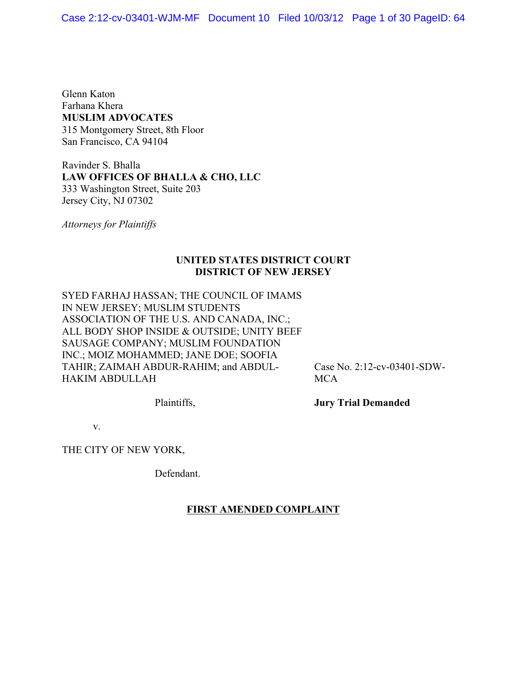Glenn Katon Farhana Khera **MUSLIM ADVOCATES** 315 Montgomery Street, 8th Floor San Francisco, CA 94104

Ravinder S. Bhalla **LAW OFFICES OF BHALLA & CHO, LLC** 333 Washington Street, Suite 203 Jersey City, NJ 07302

*Attorneys for Plaintiffs*

# **UNITED STATES DISTRICT COURT DISTRICT OF NEW JERSEY**

SYED FARHAJ HASSAN; THE COUNCIL OF IMAMS IN NEW JERSEY; MUSLIM STUDENTS ASSOCIATION OF THE U.S. AND CANADA, INC.; ALL BODY SHOP INSIDE & OUTSIDE; UNITY BEEF SAUSAGE COMPANY; MUSLIM FOUNDATION INC.; MOIZ MOHAMMED; JANE DOE; SOOFIA TAHIR; ZAIMAH ABDUR-RAHIM; and ABDUL-HAKIM ABDULLAH

Case No. 2:12-cv-03401-SDW-**MCA** 

Plaintiffs,

**Jury Trial Demanded**

v.

THE CITY OF NEW YORK,

Defendant.

## **FIRST AMENDED COMPLAINT**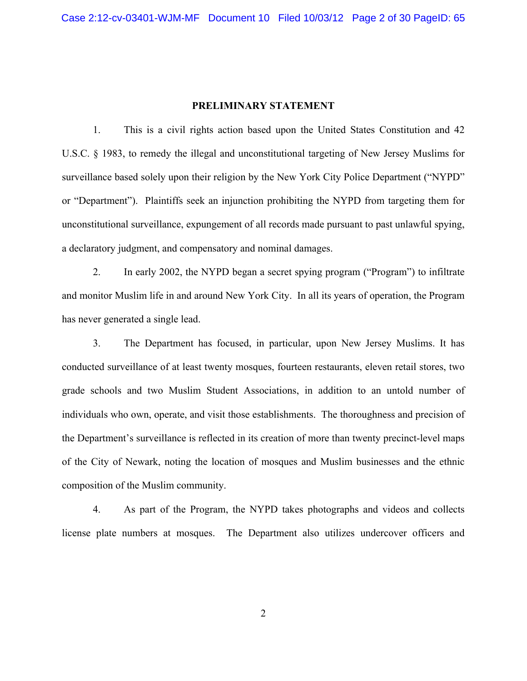## **PRELIMINARY STATEMENT**

1. This is a civil rights action based upon the United States Constitution and 42 U.S.C. § 1983, to remedy the illegal and unconstitutional targeting of New Jersey Muslims for surveillance based solely upon their religion by the New York City Police Department ("NYPD" or "Department"). Plaintiffs seek an injunction prohibiting the NYPD from targeting them for unconstitutional surveillance, expungement of all records made pursuant to past unlawful spying, a declaratory judgment, and compensatory and nominal damages.

2. In early 2002, the NYPD began a secret spying program ("Program") to infiltrate and monitor Muslim life in and around New York City. In all its years of operation, the Program has never generated a single lead.

3. The Department has focused, in particular, upon New Jersey Muslims. It has conducted surveillance of at least twenty mosques, fourteen restaurants, eleven retail stores, two grade schools and two Muslim Student Associations, in addition to an untold number of individuals who own, operate, and visit those establishments. The thoroughness and precision of the Department's surveillance is reflected in its creation of more than twenty precinct-level maps of the City of Newark, noting the location of mosques and Muslim businesses and the ethnic composition of the Muslim community.

4. As part of the Program, the NYPD takes photographs and videos and collects license plate numbers at mosques. The Department also utilizes undercover officers and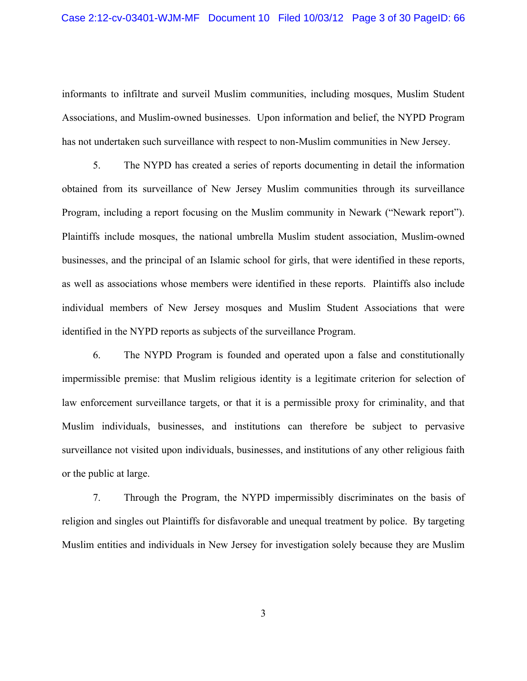#### Case 2:12-cv-03401-WJM-MF Document 10 Filed 10/03/12 Page 3 of 30 PageID: 66

informants to infiltrate and surveil Muslim communities, including mosques, Muslim Student Associations, and Muslim-owned businesses. Upon information and belief, the NYPD Program has not undertaken such surveillance with respect to non-Muslim communities in New Jersey.

5. The NYPD has created a series of reports documenting in detail the information obtained from its surveillance of New Jersey Muslim communities through its surveillance Program, including a report focusing on the Muslim community in Newark ("Newark report"). Plaintiffs include mosques, the national umbrella Muslim student association, Muslim-owned businesses, and the principal of an Islamic school for girls, that were identified in these reports, as well as associations whose members were identified in these reports. Plaintiffs also include individual members of New Jersey mosques and Muslim Student Associations that were identified in the NYPD reports as subjects of the surveillance Program.

6. The NYPD Program is founded and operated upon a false and constitutionally impermissible premise: that Muslim religious identity is a legitimate criterion for selection of law enforcement surveillance targets, or that it is a permissible proxy for criminality, and that Muslim individuals, businesses, and institutions can therefore be subject to pervasive surveillance not visited upon individuals, businesses, and institutions of any other religious faith or the public at large.

7. Through the Program, the NYPD impermissibly discriminates on the basis of religion and singles out Plaintiffs for disfavorable and unequal treatment by police. By targeting Muslim entities and individuals in New Jersey for investigation solely because they are Muslim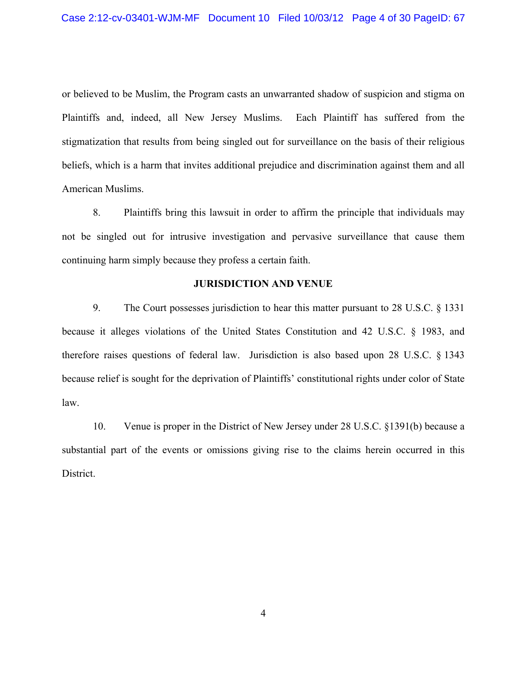or believed to be Muslim, the Program casts an unwarranted shadow of suspicion and stigma on Plaintiffs and, indeed, all New Jersey Muslims. Each Plaintiff has suffered from the stigmatization that results from being singled out for surveillance on the basis of their religious beliefs, which is a harm that invites additional prejudice and discrimination against them and all American Muslims.

8. Plaintiffs bring this lawsuit in order to affirm the principle that individuals may not be singled out for intrusive investigation and pervasive surveillance that cause them continuing harm simply because they profess a certain faith.

### **JURISDICTION AND VENUE**

9. The Court possesses jurisdiction to hear this matter pursuant to 28 U.S.C. § 1331 because it alleges violations of the United States Constitution and 42 U.S.C. § 1983, and therefore raises questions of federal law. Jurisdiction is also based upon 28 U.S.C. § 1343 because relief is sought for the deprivation of Plaintiffs' constitutional rights under color of State law.

10. Venue is proper in the District of New Jersey under 28 U.S.C. §1391(b) because a substantial part of the events or omissions giving rise to the claims herein occurred in this District.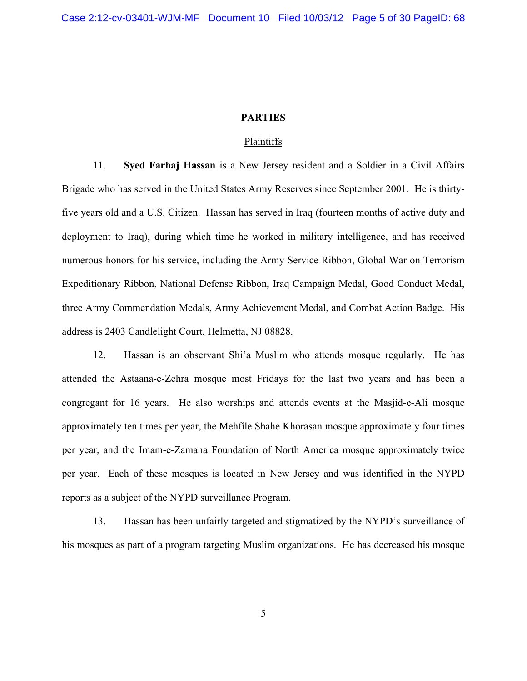### **PARTIES**

### Plaintiffs

11. **Syed Farhaj Hassan** is a New Jersey resident and a Soldier in a Civil Affairs Brigade who has served in the United States Army Reserves since September 2001. He is thirtyfive years old and a U.S. Citizen. Hassan has served in Iraq (fourteen months of active duty and deployment to Iraq), during which time he worked in military intelligence, and has received numerous honors for his service, including the Army Service Ribbon, Global War on Terrorism Expeditionary Ribbon, National Defense Ribbon, Iraq Campaign Medal, Good Conduct Medal, three Army Commendation Medals, Army Achievement Medal, and Combat Action Badge. His address is 2403 Candlelight Court, Helmetta, NJ 08828.

12. Hassan is an observant Shi'a Muslim who attends mosque regularly. He has attended the Astaana-e-Zehra mosque most Fridays for the last two years and has been a congregant for 16 years. He also worships and attends events at the Masjid-e-Ali mosque approximately ten times per year, the Mehfile Shahe Khorasan mosque approximately four times per year, and the Imam-e-Zamana Foundation of North America mosque approximately twice per year. Each of these mosques is located in New Jersey and was identified in the NYPD reports as a subject of the NYPD surveillance Program.

13. Hassan has been unfairly targeted and stigmatized by the NYPD's surveillance of his mosques as part of a program targeting Muslim organizations. He has decreased his mosque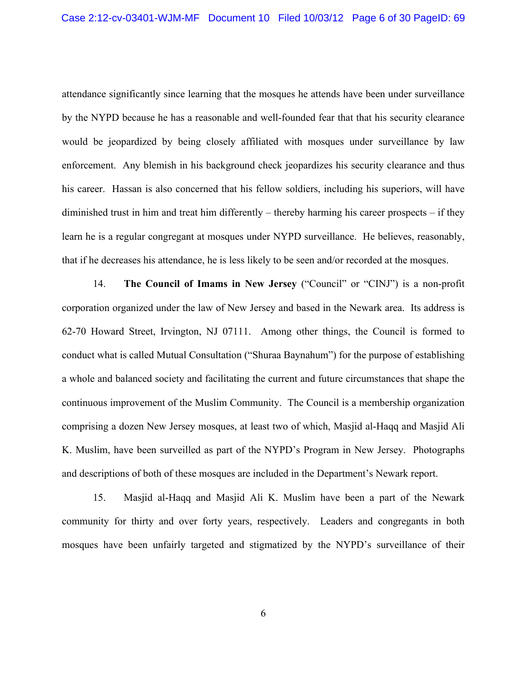attendance significantly since learning that the mosques he attends have been under surveillance by the NYPD because he has a reasonable and well-founded fear that that his security clearance would be jeopardized by being closely affiliated with mosques under surveillance by law enforcement. Any blemish in his background check jeopardizes his security clearance and thus his career. Hassan is also concerned that his fellow soldiers, including his superiors, will have diminished trust in him and treat him differently – thereby harming his career prospects – if they learn he is a regular congregant at mosques under NYPD surveillance. He believes, reasonably, that if he decreases his attendance, he is less likely to be seen and/or recorded at the mosques.

14. **The Council of Imams in New Jersey** ("Council" or "CINJ") is a non-profit corporation organized under the law of New Jersey and based in the Newark area. Its address is 62-70 Howard Street, Irvington, NJ 07111. Among other things, the Council is formed to conduct what is called Mutual Consultation ("Shuraa Baynahum") for the purpose of establishing a whole and balanced society and facilitating the current and future circumstances that shape the continuous improvement of the Muslim Community. The Council is a membership organization comprising a dozen New Jersey mosques, at least two of which, Masjid al-Haqq and Masjid Ali K. Muslim, have been surveilled as part of the NYPD's Program in New Jersey. Photographs and descriptions of both of these mosques are included in the Department's Newark report.

15. Masjid al-Haqq and Masjid Ali K. Muslim have been a part of the Newark community for thirty and over forty years, respectively. Leaders and congregants in both mosques have been unfairly targeted and stigmatized by the NYPD's surveillance of their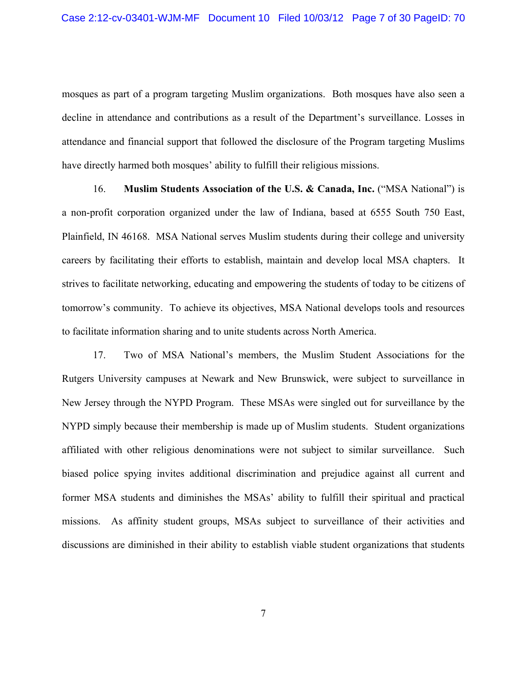mosques as part of a program targeting Muslim organizations. Both mosques have also seen a decline in attendance and contributions as a result of the Department's surveillance. Losses in attendance and financial support that followed the disclosure of the Program targeting Muslims have directly harmed both mosques' ability to fulfill their religious missions.

16. **Muslim Students Association of the U.S. & Canada, Inc.** ("MSA National") is a non-profit corporation organized under the law of Indiana, based at 6555 South 750 East, Plainfield, IN 46168. MSA National serves Muslim students during their college and university careers by facilitating their efforts to establish, maintain and develop local MSA chapters. It strives to facilitate networking, educating and empowering the students of today to be citizens of tomorrow's community. To achieve its objectives, MSA National develops tools and resources to facilitate information sharing and to unite students across North America.

17. Two of MSA National's members, the Muslim Student Associations for the Rutgers University campuses at Newark and New Brunswick, were subject to surveillance in New Jersey through the NYPD Program. These MSAs were singled out for surveillance by the NYPD simply because their membership is made up of Muslim students. Student organizations affiliated with other religious denominations were not subject to similar surveillance. Such biased police spying invites additional discrimination and prejudice against all current and former MSA students and diminishes the MSAs' ability to fulfill their spiritual and practical missions. As affinity student groups, MSAs subject to surveillance of their activities and discussions are diminished in their ability to establish viable student organizations that students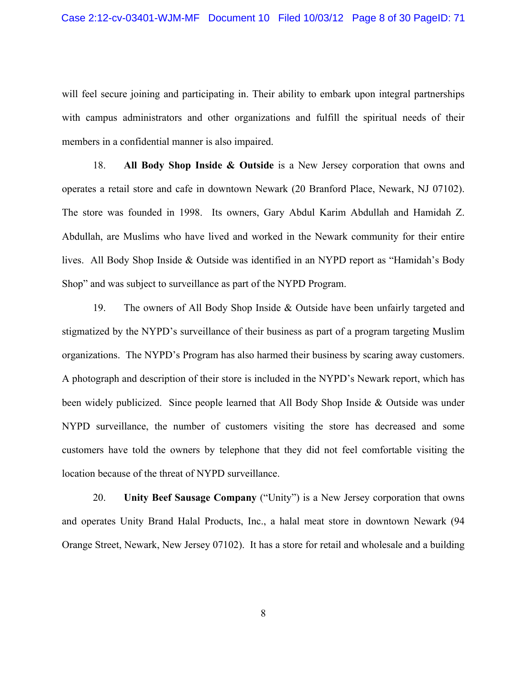will feel secure joining and participating in. Their ability to embark upon integral partnerships with campus administrators and other organizations and fulfill the spiritual needs of their members in a confidential manner is also impaired.

18. **All Body Shop Inside & Outside** is a New Jersey corporation that owns and operates a retail store and cafe in downtown Newark (20 Branford Place, Newark, NJ 07102). The store was founded in 1998. Its owners, Gary Abdul Karim Abdullah and Hamidah Z. Abdullah, are Muslims who have lived and worked in the Newark community for their entire lives. All Body Shop Inside & Outside was identified in an NYPD report as "Hamidah's Body Shop" and was subject to surveillance as part of the NYPD Program.

19. The owners of All Body Shop Inside & Outside have been unfairly targeted and stigmatized by the NYPD's surveillance of their business as part of a program targeting Muslim organizations. The NYPD's Program has also harmed their business by scaring away customers. A photograph and description of their store is included in the NYPD's Newark report, which has been widely publicized. Since people learned that All Body Shop Inside & Outside was under NYPD surveillance, the number of customers visiting the store has decreased and some customers have told the owners by telephone that they did not feel comfortable visiting the location because of the threat of NYPD surveillance.

20. **Unity Beef Sausage Company** ("Unity") is a New Jersey corporation that owns and operates Unity Brand Halal Products, Inc., a halal meat store in downtown Newark (94 Orange Street, Newark, New Jersey 07102). It has a store for retail and wholesale and a building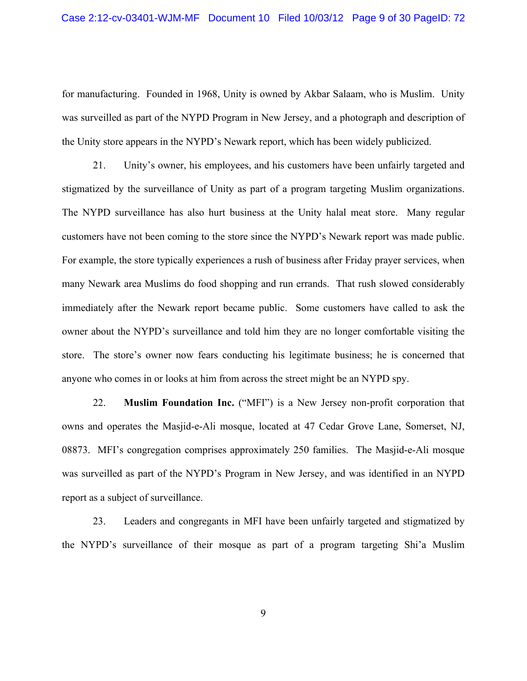for manufacturing. Founded in 1968, Unity is owned by Akbar Salaam, who is Muslim. Unity was surveilled as part of the NYPD Program in New Jersey, and a photograph and description of the Unity store appears in the NYPD's Newark report, which has been widely publicized.

21. Unity's owner, his employees, and his customers have been unfairly targeted and stigmatized by the surveillance of Unity as part of a program targeting Muslim organizations. The NYPD surveillance has also hurt business at the Unity halal meat store. Many regular customers have not been coming to the store since the NYPD's Newark report was made public. For example, the store typically experiences a rush of business after Friday prayer services, when many Newark area Muslims do food shopping and run errands. That rush slowed considerably immediately after the Newark report became public. Some customers have called to ask the owner about the NYPD's surveillance and told him they are no longer comfortable visiting the store. The store's owner now fears conducting his legitimate business; he is concerned that anyone who comes in or looks at him from across the street might be an NYPD spy.

22. **Muslim Foundation Inc.** ("MFI") is a New Jersey non-profit corporation that owns and operates the Masjid-e-Ali mosque, located at 47 Cedar Grove Lane, Somerset, NJ, 08873. MFI's congregation comprises approximately 250 families. The Masjid-e-Ali mosque was surveilled as part of the NYPD's Program in New Jersey, and was identified in an NYPD report as a subject of surveillance.

23. Leaders and congregants in MFI have been unfairly targeted and stigmatized by the NYPD's surveillance of their mosque as part of a program targeting Shi'a Muslim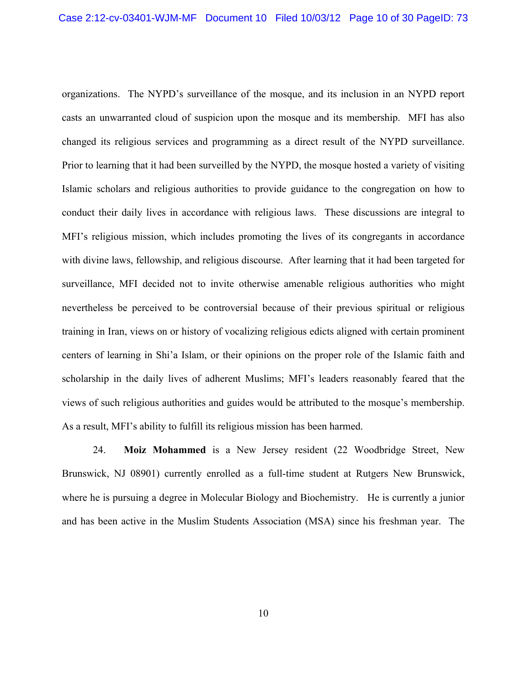organizations. The NYPD's surveillance of the mosque, and its inclusion in an NYPD report casts an unwarranted cloud of suspicion upon the mosque and its membership. MFI has also changed its religious services and programming as a direct result of the NYPD surveillance. Prior to learning that it had been surveilled by the NYPD, the mosque hosted a variety of visiting Islamic scholars and religious authorities to provide guidance to the congregation on how to conduct their daily lives in accordance with religious laws. These discussions are integral to MFI's religious mission, which includes promoting the lives of its congregants in accordance with divine laws, fellowship, and religious discourse. After learning that it had been targeted for surveillance, MFI decided not to invite otherwise amenable religious authorities who might nevertheless be perceived to be controversial because of their previous spiritual or religious training in Iran, views on or history of vocalizing religious edicts aligned with certain prominent centers of learning in Shi'a Islam, or their opinions on the proper role of the Islamic faith and scholarship in the daily lives of adherent Muslims; MFI's leaders reasonably feared that the views of such religious authorities and guides would be attributed to the mosque's membership. As a result, MFI's ability to fulfill its religious mission has been harmed.

24. **Moiz Mohammed** is a New Jersey resident (22 Woodbridge Street, New Brunswick, NJ 08901) currently enrolled as a full-time student at Rutgers New Brunswick, where he is pursuing a degree in Molecular Biology and Biochemistry. He is currently a junior and has been active in the Muslim Students Association (MSA) since his freshman year. The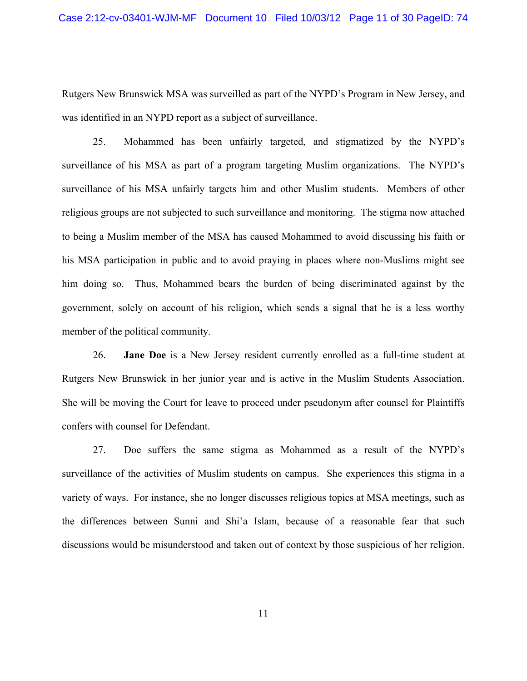Rutgers New Brunswick MSA was surveilled as part of the NYPD's Program in New Jersey, and was identified in an NYPD report as a subject of surveillance.

25. Mohammed has been unfairly targeted, and stigmatized by the NYPD's surveillance of his MSA as part of a program targeting Muslim organizations. The NYPD's surveillance of his MSA unfairly targets him and other Muslim students. Members of other religious groups are not subjected to such surveillance and monitoring. The stigma now attached to being a Muslim member of the MSA has caused Mohammed to avoid discussing his faith or his MSA participation in public and to avoid praying in places where non-Muslims might see him doing so. Thus, Mohammed bears the burden of being discriminated against by the government, solely on account of his religion, which sends a signal that he is a less worthy member of the political community.

26. **Jane Doe** is a New Jersey resident currently enrolled as a full-time student at Rutgers New Brunswick in her junior year and is active in the Muslim Students Association. She will be moving the Court for leave to proceed under pseudonym after counsel for Plaintiffs confers with counsel for Defendant.

27. Doe suffers the same stigma as Mohammed as a result of the NYPD's surveillance of the activities of Muslim students on campus. She experiences this stigma in a variety of ways. For instance, she no longer discusses religious topics at MSA meetings, such as the differences between Sunni and Shi'a Islam, because of a reasonable fear that such discussions would be misunderstood and taken out of context by those suspicious of her religion.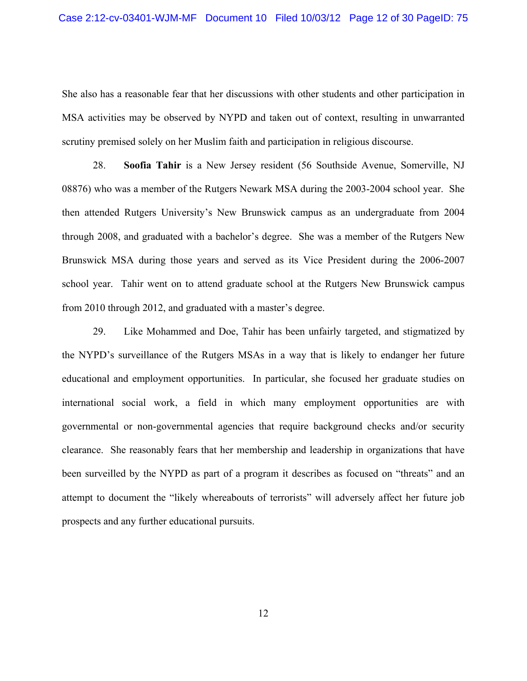She also has a reasonable fear that her discussions with other students and other participation in MSA activities may be observed by NYPD and taken out of context, resulting in unwarranted scrutiny premised solely on her Muslim faith and participation in religious discourse.

28. **Soofia Tahir** is a New Jersey resident (56 Southside Avenue, Somerville, NJ 08876) who was a member of the Rutgers Newark MSA during the 2003-2004 school year. She then attended Rutgers University's New Brunswick campus as an undergraduate from 2004 through 2008, and graduated with a bachelor's degree. She was a member of the Rutgers New Brunswick MSA during those years and served as its Vice President during the 2006-2007 school year. Tahir went on to attend graduate school at the Rutgers New Brunswick campus from 2010 through 2012, and graduated with a master's degree.

29. Like Mohammed and Doe, Tahir has been unfairly targeted, and stigmatized by the NYPD's surveillance of the Rutgers MSAs in a way that is likely to endanger her future educational and employment opportunities. In particular, she focused her graduate studies on international social work, a field in which many employment opportunities are with governmental or non-governmental agencies that require background checks and/or security clearance. She reasonably fears that her membership and leadership in organizations that have been surveilled by the NYPD as part of a program it describes as focused on "threats" and an attempt to document the "likely whereabouts of terrorists" will adversely affect her future job prospects and any further educational pursuits.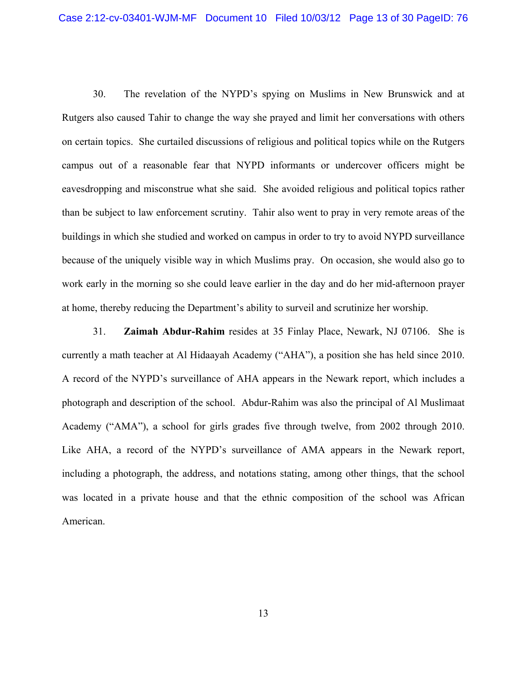30. The revelation of the NYPD's spying on Muslims in New Brunswick and at Rutgers also caused Tahir to change the way she prayed and limit her conversations with others on certain topics. She curtailed discussions of religious and political topics while on the Rutgers campus out of a reasonable fear that NYPD informants or undercover officers might be eavesdropping and misconstrue what she said. She avoided religious and political topics rather than be subject to law enforcement scrutiny. Tahir also went to pray in very remote areas of the buildings in which she studied and worked on campus in order to try to avoid NYPD surveillance because of the uniquely visible way in which Muslims pray. On occasion, she would also go to work early in the morning so she could leave earlier in the day and do her mid-afternoon prayer at home, thereby reducing the Department's ability to surveil and scrutinize her worship.

31. **Zaimah Abdur-Rahim** resides at 35 Finlay Place, Newark, NJ 07106. She is currently a math teacher at Al Hidaayah Academy ("AHA"), a position she has held since 2010. A record of the NYPD's surveillance of AHA appears in the Newark report, which includes a photograph and description of the school. Abdur-Rahim was also the principal of Al Muslimaat Academy ("AMA"), a school for girls grades five through twelve, from 2002 through 2010. Like AHA, a record of the NYPD's surveillance of AMA appears in the Newark report, including a photograph, the address, and notations stating, among other things, that the school was located in a private house and that the ethnic composition of the school was African American.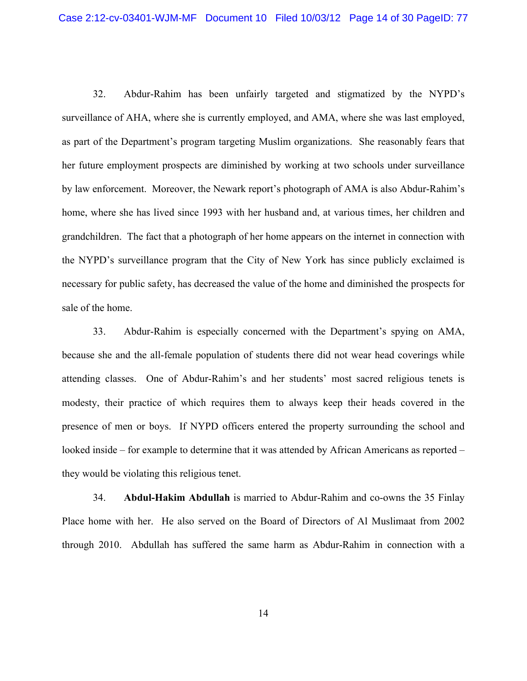32. Abdur-Rahim has been unfairly targeted and stigmatized by the NYPD's surveillance of AHA, where she is currently employed, and AMA, where she was last employed, as part of the Department's program targeting Muslim organizations. She reasonably fears that her future employment prospects are diminished by working at two schools under surveillance by law enforcement. Moreover, the Newark report's photograph of AMA is also Abdur-Rahim's home, where she has lived since 1993 with her husband and, at various times, her children and grandchildren. The fact that a photograph of her home appears on the internet in connection with the NYPD's surveillance program that the City of New York has since publicly exclaimed is necessary for public safety, has decreased the value of the home and diminished the prospects for sale of the home.

33. Abdur-Rahim is especially concerned with the Department's spying on AMA, because she and the all-female population of students there did not wear head coverings while attending classes. One of Abdur-Rahim's and her students' most sacred religious tenets is modesty, their practice of which requires them to always keep their heads covered in the presence of men or boys. If NYPD officers entered the property surrounding the school and looked inside – for example to determine that it was attended by African Americans as reported – they would be violating this religious tenet.

34. **Abdul-Hakim Abdullah** is married to Abdur-Rahim and co-owns the 35 Finlay Place home with her. He also served on the Board of Directors of Al Muslimaat from 2002 through 2010. Abdullah has suffered the same harm as Abdur-Rahim in connection with a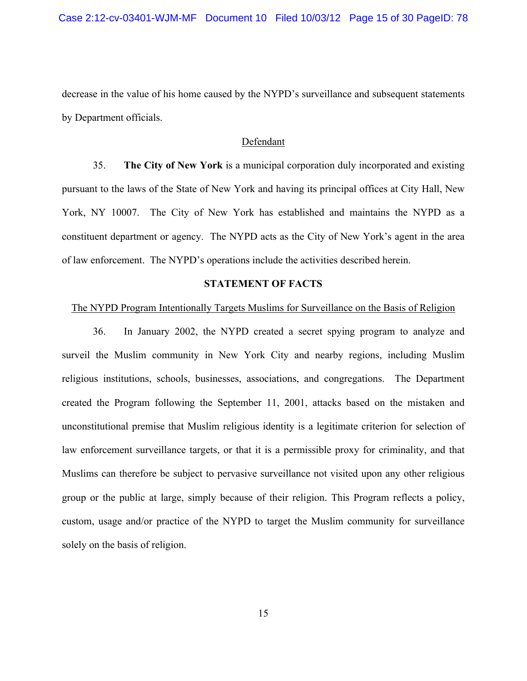decrease in the value of his home caused by the NYPD's surveillance and subsequent statements by Department officials.

## Defendant

35. **The City of New York** is a municipal corporation duly incorporated and existing pursuant to the laws of the State of New York and having its principal offices at City Hall, New York, NY 10007. The City of New York has established and maintains the NYPD as a constituent department or agency. The NYPD acts as the City of New York's agent in the area of law enforcement. The NYPD's operations include the activities described herein.

### **STATEMENT OF FACTS**

#### The NYPD Program Intentionally Targets Muslims for Surveillance on the Basis of Religion

36. In January 2002, the NYPD created a secret spying program to analyze and surveil the Muslim community in New York City and nearby regions, including Muslim religious institutions, schools, businesses, associations, and congregations. The Department created the Program following the September 11, 2001, attacks based on the mistaken and unconstitutional premise that Muslim religious identity is a legitimate criterion for selection of law enforcement surveillance targets, or that it is a permissible proxy for criminality, and that Muslims can therefore be subject to pervasive surveillance not visited upon any other religious group or the public at large, simply because of their religion. This Program reflects a policy, custom, usage and/or practice of the NYPD to target the Muslim community for surveillance solely on the basis of religion.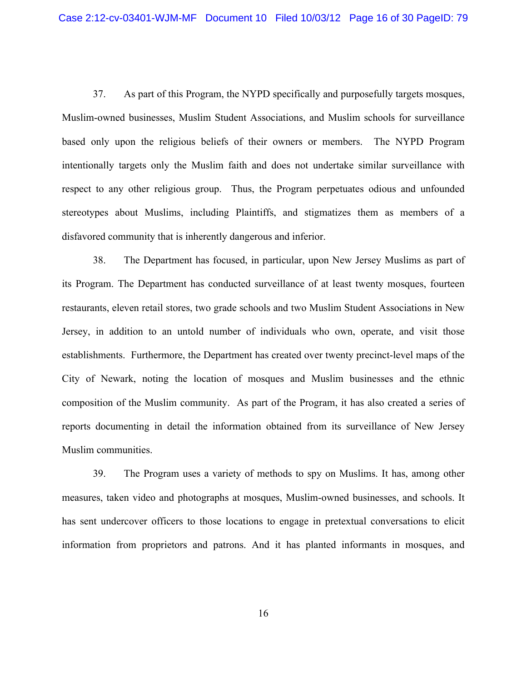37. As part of this Program, the NYPD specifically and purposefully targets mosques, Muslim-owned businesses, Muslim Student Associations, and Muslim schools for surveillance based only upon the religious beliefs of their owners or members. The NYPD Program intentionally targets only the Muslim faith and does not undertake similar surveillance with respect to any other religious group. Thus, the Program perpetuates odious and unfounded stereotypes about Muslims, including Plaintiffs, and stigmatizes them as members of a disfavored community that is inherently dangerous and inferior.

38. The Department has focused, in particular, upon New Jersey Muslims as part of its Program. The Department has conducted surveillance of at least twenty mosques, fourteen restaurants, eleven retail stores, two grade schools and two Muslim Student Associations in New Jersey, in addition to an untold number of individuals who own, operate, and visit those establishments. Furthermore, the Department has created over twenty precinct-level maps of the City of Newark, noting the location of mosques and Muslim businesses and the ethnic composition of the Muslim community. As part of the Program, it has also created a series of reports documenting in detail the information obtained from its surveillance of New Jersey Muslim communities.

39. The Program uses a variety of methods to spy on Muslims. It has, among other measures, taken video and photographs at mosques, Muslim-owned businesses, and schools. It has sent undercover officers to those locations to engage in pretextual conversations to elicit information from proprietors and patrons. And it has planted informants in mosques, and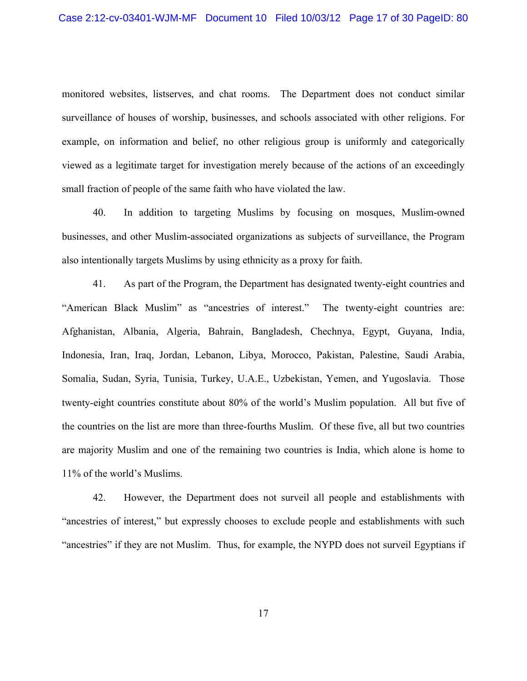monitored websites, listserves, and chat rooms. The Department does not conduct similar surveillance of houses of worship, businesses, and schools associated with other religions. For example, on information and belief, no other religious group is uniformly and categorically viewed as a legitimate target for investigation merely because of the actions of an exceedingly small fraction of people of the same faith who have violated the law.

40. In addition to targeting Muslims by focusing on mosques, Muslim-owned businesses, and other Muslim-associated organizations as subjects of surveillance, the Program also intentionally targets Muslims by using ethnicity as a proxy for faith.

41. As part of the Program, the Department has designated twenty-eight countries and "American Black Muslim" as "ancestries of interest." The twenty-eight countries are: Afghanistan, Albania, Algeria, Bahrain, Bangladesh, Chechnya, Egypt, Guyana, India, Indonesia, Iran, Iraq, Jordan, Lebanon, Libya, Morocco, Pakistan, Palestine, Saudi Arabia, Somalia, Sudan, Syria, Tunisia, Turkey, U.A.E., Uzbekistan, Yemen, and Yugoslavia. Those twenty-eight countries constitute about 80% of the world's Muslim population. All but five of the countries on the list are more than three-fourths Muslim. Of these five, all but two countries are majority Muslim and one of the remaining two countries is India, which alone is home to 11% of the world's Muslims.

42. However, the Department does not surveil all people and establishments with "ancestries of interest," but expressly chooses to exclude people and establishments with such "ancestries" if they are not Muslim. Thus, for example, the NYPD does not surveil Egyptians if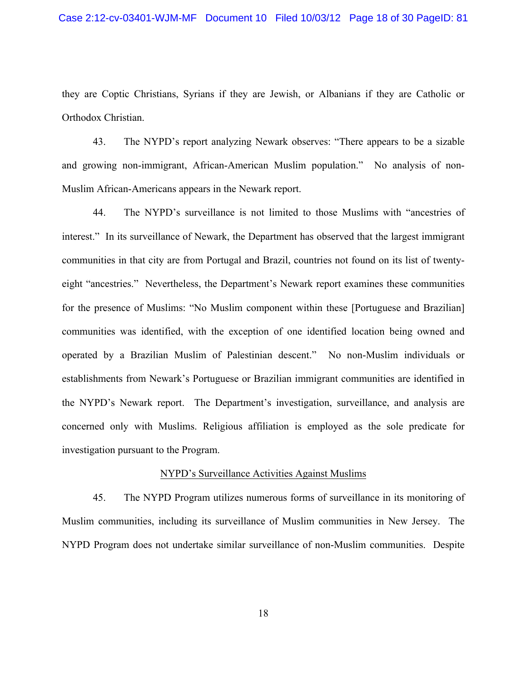they are Coptic Christians, Syrians if they are Jewish, or Albanians if they are Catholic or Orthodox Christian.

43. The NYPD's report analyzing Newark observes: "There appears to be a sizable and growing non-immigrant, African-American Muslim population." No analysis of non-Muslim African-Americans appears in the Newark report.

44. The NYPD's surveillance is not limited to those Muslims with "ancestries of interest." In its surveillance of Newark, the Department has observed that the largest immigrant communities in that city are from Portugal and Brazil, countries not found on its list of twentyeight "ancestries." Nevertheless, the Department's Newark report examines these communities for the presence of Muslims: "No Muslim component within these [Portuguese and Brazilian] communities was identified, with the exception of one identified location being owned and operated by a Brazilian Muslim of Palestinian descent." No non-Muslim individuals or establishments from Newark's Portuguese or Brazilian immigrant communities are identified in the NYPD's Newark report. The Department's investigation, surveillance, and analysis are concerned only with Muslims. Religious affiliation is employed as the sole predicate for investigation pursuant to the Program.

#### NYPD's Surveillance Activities Against Muslims

45. The NYPD Program utilizes numerous forms of surveillance in its monitoring of Muslim communities, including its surveillance of Muslim communities in New Jersey. The NYPD Program does not undertake similar surveillance of non-Muslim communities. Despite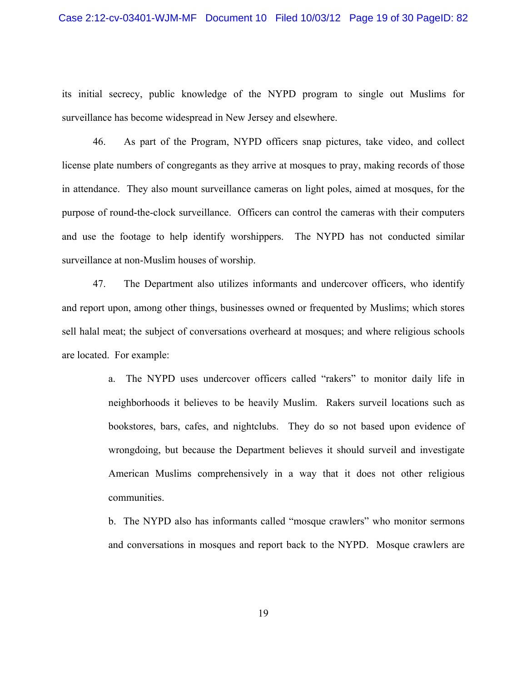its initial secrecy, public knowledge of the NYPD program to single out Muslims for surveillance has become widespread in New Jersey and elsewhere.

46. As part of the Program, NYPD officers snap pictures, take video, and collect license plate numbers of congregants as they arrive at mosques to pray, making records of those in attendance. They also mount surveillance cameras on light poles, aimed at mosques, for the purpose of round-the-clock surveillance. Officers can control the cameras with their computers and use the footage to help identify worshippers. The NYPD has not conducted similar surveillance at non-Muslim houses of worship.

47. The Department also utilizes informants and undercover officers, who identify and report upon, among other things, businesses owned or frequented by Muslims; which stores sell halal meat; the subject of conversations overheard at mosques; and where religious schools are located. For example:

> a. The NYPD uses undercover officers called "rakers" to monitor daily life in neighborhoods it believes to be heavily Muslim. Rakers surveil locations such as bookstores, bars, cafes, and nightclubs. They do so not based upon evidence of wrongdoing, but because the Department believes it should surveil and investigate American Muslims comprehensively in a way that it does not other religious communities.

> b. The NYPD also has informants called "mosque crawlers" who monitor sermons and conversations in mosques and report back to the NYPD. Mosque crawlers are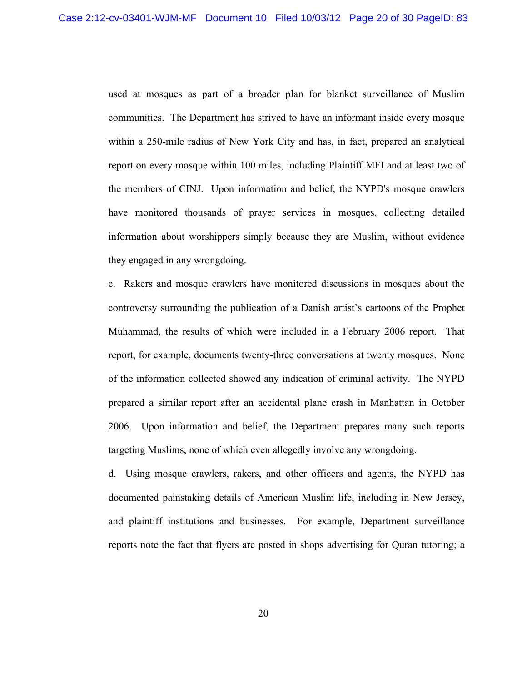used at mosques as part of a broader plan for blanket surveillance of Muslim communities. The Department has strived to have an informant inside every mosque within a 250-mile radius of New York City and has, in fact, prepared an analytical report on every mosque within 100 miles, including Plaintiff MFI and at least two of the members of CINJ. Upon information and belief, the NYPD's mosque crawlers have monitored thousands of prayer services in mosques, collecting detailed information about worshippers simply because they are Muslim, without evidence they engaged in any wrongdoing.

c. Rakers and mosque crawlers have monitored discussions in mosques about the controversy surrounding the publication of a Danish artist's cartoons of the Prophet Muhammad, the results of which were included in a February 2006 report. That report, for example, documents twenty-three conversations at twenty mosques. None of the information collected showed any indication of criminal activity. The NYPD prepared a similar report after an accidental plane crash in Manhattan in October 2006. Upon information and belief, the Department prepares many such reports targeting Muslims, none of which even allegedly involve any wrongdoing.

d. Using mosque crawlers, rakers, and other officers and agents, the NYPD has documented painstaking details of American Muslim life, including in New Jersey, and plaintiff institutions and businesses. For example, Department surveillance reports note the fact that flyers are posted in shops advertising for Quran tutoring; a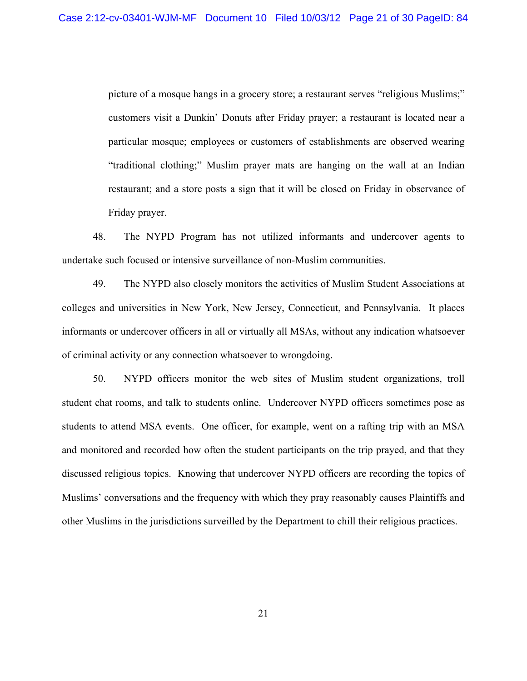picture of a mosque hangs in a grocery store; a restaurant serves "religious Muslims;" customers visit a Dunkin' Donuts after Friday prayer; a restaurant is located near a particular mosque; employees or customers of establishments are observed wearing "traditional clothing;" Muslim prayer mats are hanging on the wall at an Indian restaurant; and a store posts a sign that it will be closed on Friday in observance of Friday prayer.

48. The NYPD Program has not utilized informants and undercover agents to undertake such focused or intensive surveillance of non-Muslim communities.

49. The NYPD also closely monitors the activities of Muslim Student Associations at colleges and universities in New York, New Jersey, Connecticut, and Pennsylvania. It places informants or undercover officers in all or virtually all MSAs, without any indication whatsoever of criminal activity or any connection whatsoever to wrongdoing.

50. NYPD officers monitor the web sites of Muslim student organizations, troll student chat rooms, and talk to students online. Undercover NYPD officers sometimes pose as students to attend MSA events. One officer, for example, went on a rafting trip with an MSA and monitored and recorded how often the student participants on the trip prayed, and that they discussed religious topics. Knowing that undercover NYPD officers are recording the topics of Muslims' conversations and the frequency with which they pray reasonably causes Plaintiffs and other Muslims in the jurisdictions surveilled by the Department to chill their religious practices.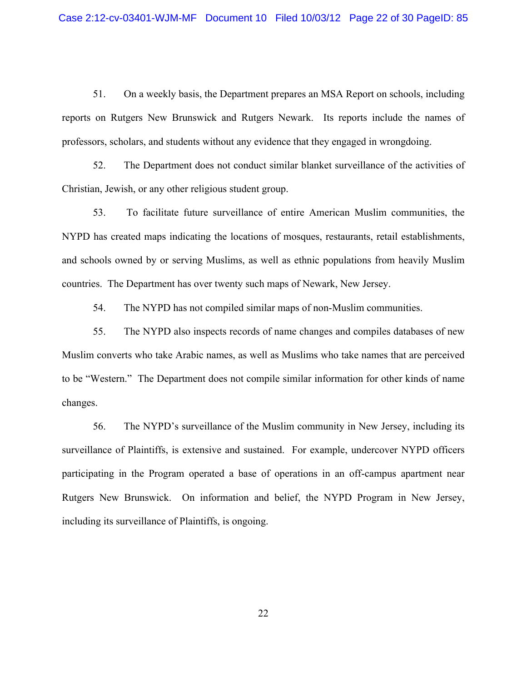51. On a weekly basis, the Department prepares an MSA Report on schools, including reports on Rutgers New Brunswick and Rutgers Newark. Its reports include the names of professors, scholars, and students without any evidence that they engaged in wrongdoing.

52. The Department does not conduct similar blanket surveillance of the activities of Christian, Jewish, or any other religious student group.

53. To facilitate future surveillance of entire American Muslim communities, the NYPD has created maps indicating the locations of mosques, restaurants, retail establishments, and schools owned by or serving Muslims, as well as ethnic populations from heavily Muslim countries. The Department has over twenty such maps of Newark, New Jersey.

54. The NYPD has not compiled similar maps of non-Muslim communities.

55. The NYPD also inspects records of name changes and compiles databases of new Muslim converts who take Arabic names, as well as Muslims who take names that are perceived to be "Western." The Department does not compile similar information for other kinds of name changes.

56. The NYPD's surveillance of the Muslim community in New Jersey, including its surveillance of Plaintiffs, is extensive and sustained. For example, undercover NYPD officers participating in the Program operated a base of operations in an off-campus apartment near Rutgers New Brunswick. On information and belief, the NYPD Program in New Jersey, including its surveillance of Plaintiffs, is ongoing.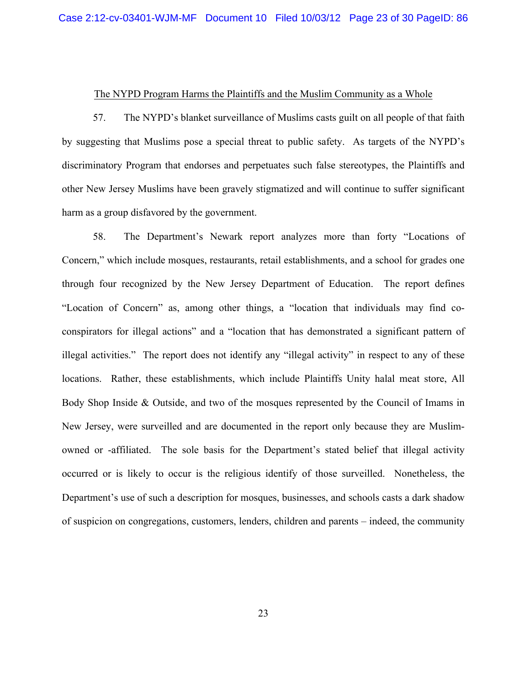#### The NYPD Program Harms the Plaintiffs and the Muslim Community as a Whole

57. The NYPD's blanket surveillance of Muslims casts guilt on all people of that faith by suggesting that Muslims pose a special threat to public safety. As targets of the NYPD's discriminatory Program that endorses and perpetuates such false stereotypes, the Plaintiffs and other New Jersey Muslims have been gravely stigmatized and will continue to suffer significant harm as a group disfavored by the government.

58. The Department's Newark report analyzes more than forty "Locations of Concern," which include mosques, restaurants, retail establishments, and a school for grades one through four recognized by the New Jersey Department of Education. The report defines "Location of Concern" as, among other things, a "location that individuals may find coconspirators for illegal actions" and a "location that has demonstrated a significant pattern of illegal activities." The report does not identify any "illegal activity" in respect to any of these locations. Rather, these establishments, which include Plaintiffs Unity halal meat store, All Body Shop Inside & Outside, and two of the mosques represented by the Council of Imams in New Jersey, were surveilled and are documented in the report only because they are Muslimowned or -affiliated. The sole basis for the Department's stated belief that illegal activity occurred or is likely to occur is the religious identify of those surveilled. Nonetheless, the Department's use of such a description for mosques, businesses, and schools casts a dark shadow of suspicion on congregations, customers, lenders, children and parents – indeed, the community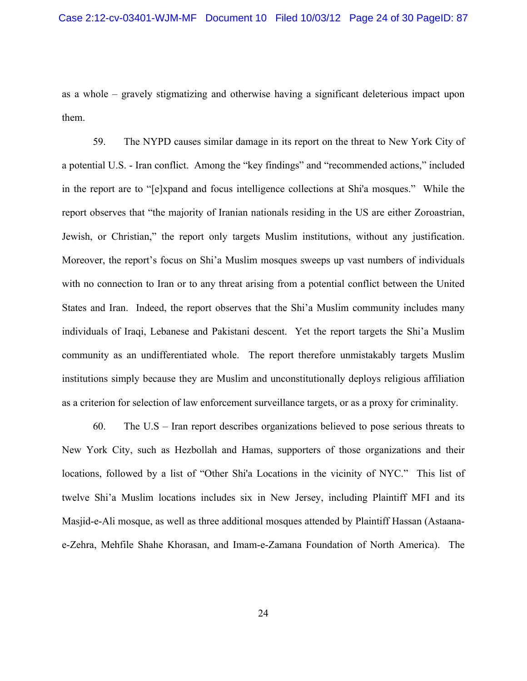as a whole – gravely stigmatizing and otherwise having a significant deleterious impact upon them.

59. The NYPD causes similar damage in its report on the threat to New York City of a potential U.S. - Iran conflict. Among the "key findings" and "recommended actions," included in the report are to "[e]xpand and focus intelligence collections at Shi'a mosques." While the report observes that "the majority of Iranian nationals residing in the US are either Zoroastrian, Jewish, or Christian," the report only targets Muslim institutions, without any justification. Moreover, the report's focus on Shi'a Muslim mosques sweeps up vast numbers of individuals with no connection to Iran or to any threat arising from a potential conflict between the United States and Iran. Indeed, the report observes that the Shi'a Muslim community includes many individuals of Iraqi, Lebanese and Pakistani descent. Yet the report targets the Shi'a Muslim community as an undifferentiated whole. The report therefore unmistakably targets Muslim institutions simply because they are Muslim and unconstitutionally deploys religious affiliation as a criterion for selection of law enforcement surveillance targets, or as a proxy for criminality.

60. The U.S – Iran report describes organizations believed to pose serious threats to New York City, such as Hezbollah and Hamas, supporters of those organizations and their locations, followed by a list of "Other Shi'a Locations in the vicinity of NYC." This list of twelve Shi'a Muslim locations includes six in New Jersey, including Plaintiff MFI and its Masjid-e-Ali mosque, as well as three additional mosques attended by Plaintiff Hassan (Astaanae-Zehra, Mehfile Shahe Khorasan, and Imam-e-Zamana Foundation of North America). The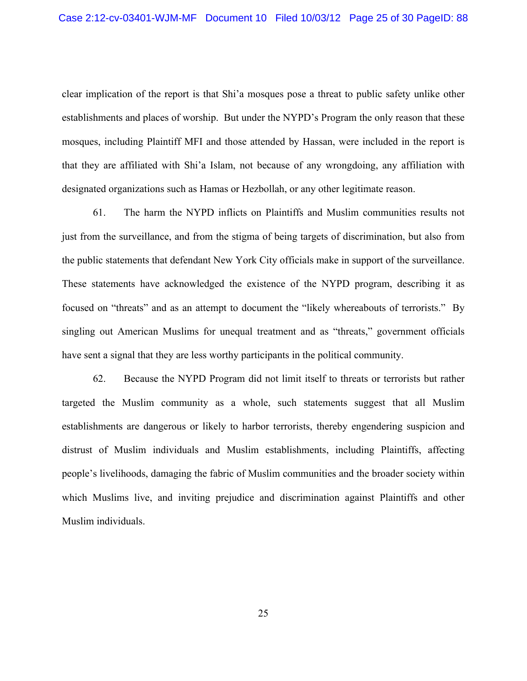clear implication of the report is that Shi'a mosques pose a threat to public safety unlike other establishments and places of worship. But under the NYPD's Program the only reason that these mosques, including Plaintiff MFI and those attended by Hassan, were included in the report is that they are affiliated with Shi'a Islam, not because of any wrongdoing, any affiliation with designated organizations such as Hamas or Hezbollah, or any other legitimate reason.

61. The harm the NYPD inflicts on Plaintiffs and Muslim communities results not just from the surveillance, and from the stigma of being targets of discrimination, but also from the public statements that defendant New York City officials make in support of the surveillance. These statements have acknowledged the existence of the NYPD program, describing it as focused on "threats" and as an attempt to document the "likely whereabouts of terrorists." By singling out American Muslims for unequal treatment and as "threats," government officials have sent a signal that they are less worthy participants in the political community.

62. Because the NYPD Program did not limit itself to threats or terrorists but rather targeted the Muslim community as a whole, such statements suggest that all Muslim establishments are dangerous or likely to harbor terrorists, thereby engendering suspicion and distrust of Muslim individuals and Muslim establishments, including Plaintiffs, affecting people's livelihoods, damaging the fabric of Muslim communities and the broader society within which Muslims live, and inviting prejudice and discrimination against Plaintiffs and other Muslim individuals.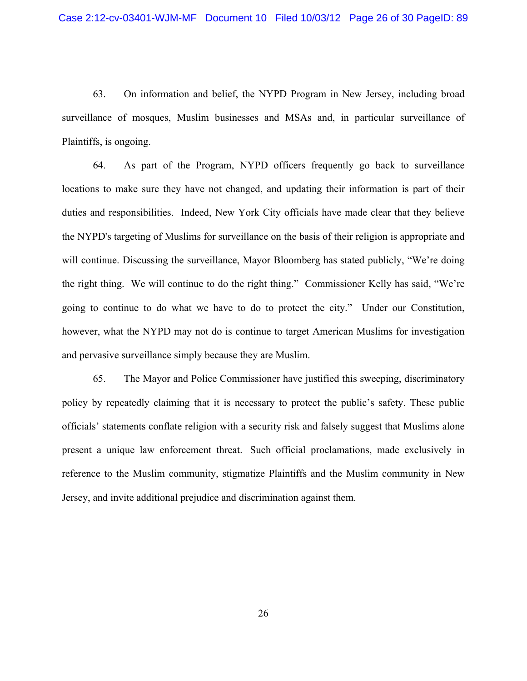63. On information and belief, the NYPD Program in New Jersey, including broad surveillance of mosques, Muslim businesses and MSAs and, in particular surveillance of Plaintiffs, is ongoing.

64. As part of the Program, NYPD officers frequently go back to surveillance locations to make sure they have not changed, and updating their information is part of their duties and responsibilities. Indeed, New York City officials have made clear that they believe the NYPD's targeting of Muslims for surveillance on the basis of their religion is appropriate and will continue. Discussing the surveillance, Mayor Bloomberg has stated publicly, "We're doing the right thing. We will continue to do the right thing." Commissioner Kelly has said, "We're going to continue to do what we have to do to protect the city." Under our Constitution, however, what the NYPD may not do is continue to target American Muslims for investigation and pervasive surveillance simply because they are Muslim.

65. The Mayor and Police Commissioner have justified this sweeping, discriminatory policy by repeatedly claiming that it is necessary to protect the public's safety. These public officials' statements conflate religion with a security risk and falsely suggest that Muslims alone present a unique law enforcement threat. Such official proclamations, made exclusively in reference to the Muslim community, stigmatize Plaintiffs and the Muslim community in New Jersey, and invite additional prejudice and discrimination against them.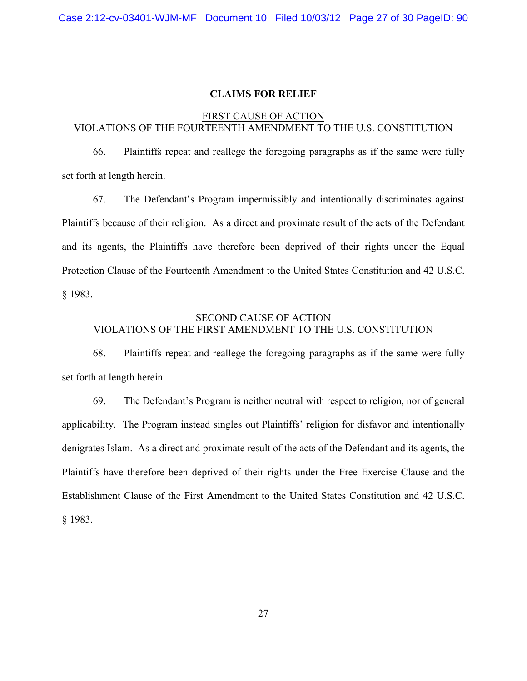#### **CLAIMS FOR RELIEF**

# FIRST CAUSE OF ACTION VIOLATIONS OF THE FOURTEENTH AMENDMENT TO THE U.S. CONSTITUTION

66. Plaintiffs repeat and reallege the foregoing paragraphs as if the same were fully set forth at length herein.

67. The Defendant's Program impermissibly and intentionally discriminates against Plaintiffs because of their religion. As a direct and proximate result of the acts of the Defendant and its agents, the Plaintiffs have therefore been deprived of their rights under the Equal Protection Clause of the Fourteenth Amendment to the United States Constitution and 42 U.S.C. § 1983.

# SECOND CAUSE OF ACTION VIOLATIONS OF THE FIRST AMENDMENT TO THE U.S. CONSTITUTION

68. Plaintiffs repeat and reallege the foregoing paragraphs as if the same were fully set forth at length herein.

69. The Defendant's Program is neither neutral with respect to religion, nor of general applicability. The Program instead singles out Plaintiffs' religion for disfavor and intentionally denigrates Islam. As a direct and proximate result of the acts of the Defendant and its agents, the Plaintiffs have therefore been deprived of their rights under the Free Exercise Clause and the Establishment Clause of the First Amendment to the United States Constitution and 42 U.S.C. § 1983.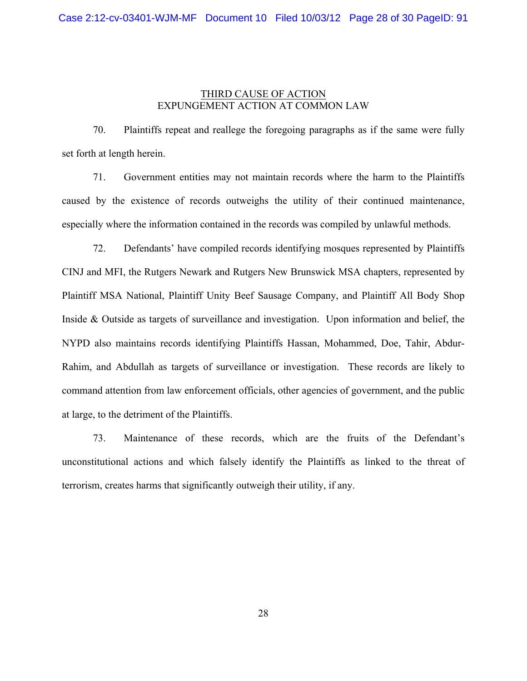# THIRD CAUSE OF ACTION EXPUNGEMENT ACTION AT COMMON LAW

70. Plaintiffs repeat and reallege the foregoing paragraphs as if the same were fully set forth at length herein.

71. Government entities may not maintain records where the harm to the Plaintiffs caused by the existence of records outweighs the utility of their continued maintenance, especially where the information contained in the records was compiled by unlawful methods.

72. Defendants' have compiled records identifying mosques represented by Plaintiffs CINJ and MFI, the Rutgers Newark and Rutgers New Brunswick MSA chapters, represented by Plaintiff MSA National, Plaintiff Unity Beef Sausage Company, and Plaintiff All Body Shop Inside & Outside as targets of surveillance and investigation. Upon information and belief, the NYPD also maintains records identifying Plaintiffs Hassan, Mohammed, Doe, Tahir, Abdur-Rahim, and Abdullah as targets of surveillance or investigation. These records are likely to command attention from law enforcement officials, other agencies of government, and the public at large, to the detriment of the Plaintiffs.

73. Maintenance of these records, which are the fruits of the Defendant's unconstitutional actions and which falsely identify the Plaintiffs as linked to the threat of terrorism, creates harms that significantly outweigh their utility, if any.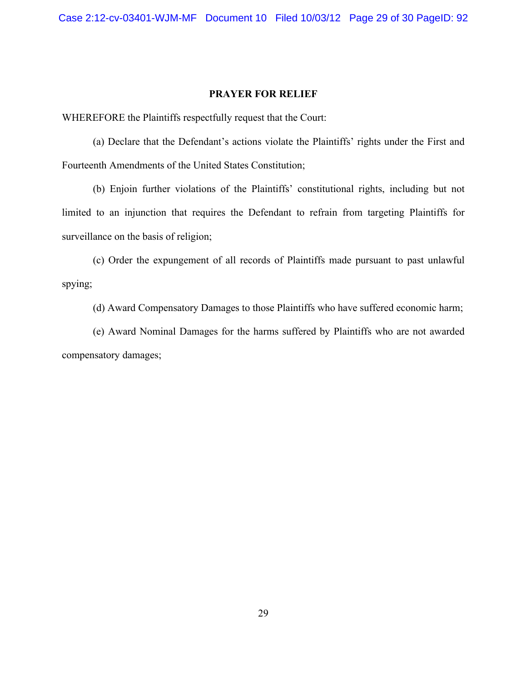#### **PRAYER FOR RELIEF**

WHEREFORE the Plaintiffs respectfully request that the Court:

(a) Declare that the Defendant's actions violate the Plaintiffs' rights under the First and Fourteenth Amendments of the United States Constitution;

(b) Enjoin further violations of the Plaintiffs' constitutional rights, including but not limited to an injunction that requires the Defendant to refrain from targeting Plaintiffs for surveillance on the basis of religion;

(c) Order the expungement of all records of Plaintiffs made pursuant to past unlawful spying;

(d) Award Compensatory Damages to those Plaintiffs who have suffered economic harm;

(e) Award Nominal Damages for the harms suffered by Plaintiffs who are not awarded compensatory damages;